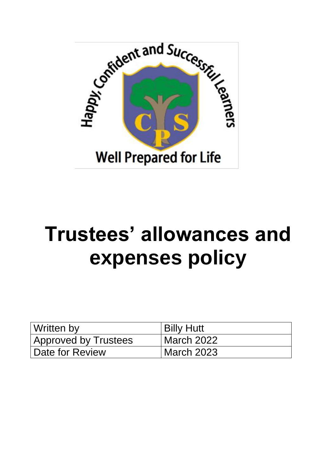

# **Trustees' allowances and expenses policy**

| Written by                  | <b>Billy Hutt</b> |
|-----------------------------|-------------------|
| <b>Approved by Trustees</b> | March 2022        |
| Date for Review             | March 2023        |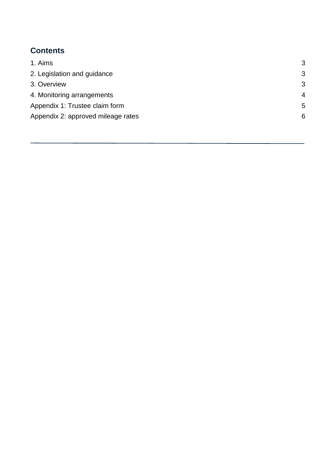### <span id="page-1-0"></span>**Contents**

| 1. Aims                            | 3              |
|------------------------------------|----------------|
| 2. Legislation and guidance        | 3              |
| 3. Overview                        | 3              |
| 4. Monitoring arrangements         | $\overline{4}$ |
| Appendix 1: Trustee claim form     | 5              |
| Appendix 2: approved mileage rates | 6              |
|                                    |                |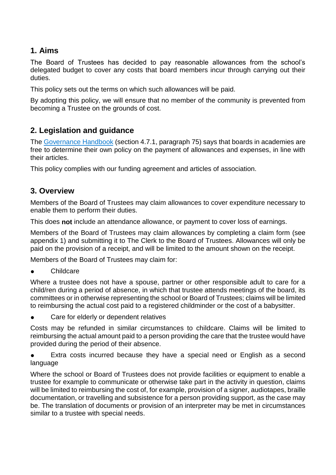#### **1. Aims**

The Board of Trustees has decided to pay reasonable allowances from the school's delegated budget to cover any costs that board members incur through carrying out their duties.

This policy sets out the terms on which such allowances will be paid.

By adopting this policy, we will ensure that no member of the community is prevented from becoming a Trustee on the grounds of cost.

#### <span id="page-2-0"></span>**2. Legislation and guidance**

The [Governance Handbook](https://www.gov.uk/government/publications/governance-handbook) (section 4.7.1, paragraph 75) says that boards in academies are free to determine their own policy on the payment of allowances and expenses, in line with their articles.

This policy complies with our funding agreement and articles of association.

#### <span id="page-2-1"></span>**3. Overview**

Members of the Board of Trustees may claim allowances to cover expenditure necessary to enable them to perform their duties.

This does **not** include an attendance allowance, or payment to cover loss of earnings.

Members of the Board of Trustees may claim allowances by completing a claim form (see appendix 1) and submitting it to The Clerk to the Board of Trustees. Allowances will only be paid on the provision of a receipt, and will be limited to the amount shown on the receipt.

Members of the Board of Trustees may claim for:

**Childcare** 

Where a trustee does not have a spouse, partner or other responsible adult to care for a child/ren during a period of absence, in which that trustee attends meetings of the board, its committees or in otherwise representing the school or Board of Trustees; claims will be limited to reimbursing the actual cost paid to a registered childminder or the cost of a babysitter.

Care for elderly or dependent relatives

Costs may be refunded in similar circumstances to childcare. Claims will be limited to reimbursing the actual amount paid to a person providing the care that the trustee would have provided during the period of their absence.

● Extra costs incurred because they have a special need or English as a second language

Where the school or Board of Trustees does not provide facilities or equipment to enable a trustee for example to communicate or otherwise take part in the activity in question, claims will be limited to reimbursing the cost of, for example, provision of a signer, audiotapes, braille documentation, or travelling and subsistence for a person providing support, as the case may be. The translation of documents or provision of an interpreter may be met in circumstances similar to a trustee with special needs.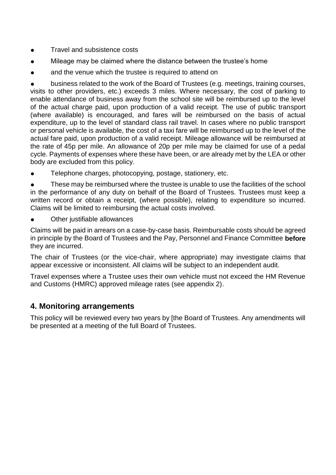- Travel and subsistence costs
- Mileage may be claimed where the distance between the trustee's home
- and the venue which the trustee is required to attend on

business related to the work of the Board of Trustees (e.g. meetings, training courses, visits to other providers, etc.) exceeds 3 miles. Where necessary, the cost of parking to enable attendance of business away from the school site will be reimbursed up to the level of the actual charge paid, upon production of a valid receipt. The use of public transport (where available) is encouraged, and fares will be reimbursed on the basis of actual expenditure, up to the level of standard class rail travel. In cases where no public transport or personal vehicle is available, the cost of a taxi fare will be reimbursed up to the level of the actual fare paid, upon production of a valid receipt. Mileage allowance will be reimbursed at the rate of 45p per mile. An allowance of 20p per mile may be claimed for use of a pedal cycle. Payments of expenses where these have been, or are already met by the LEA or other body are excluded from this policy.

Telephone charges, photocopying, postage, stationery, etc.

These may be reimbursed where the trustee is unable to use the facilities of the school in the performance of any duty on behalf of the Board of Trustees. Trustees must keep a written record or obtain a receipt, (where possible), relating to expenditure so incurred. Claims will be limited to reimbursing the actual costs involved.

Other justifiable allowances

Claims will be paid in arrears on a case-by-case basis. Reimbursable costs should be agreed in principle by the Board of Trustees and the Pay, Personnel and Finance Committee **before** they are incurred.

The chair of Trustees (or the vice-chair, where appropriate) may investigate claims that appear excessive or inconsistent. All claims will be subject to an independent audit.

Travel expenses where a Trustee uses their own vehicle must not exceed the HM Revenue and Customs (HMRC) approved mileage rates (see appendix 2).

#### <span id="page-3-0"></span>**4. Monitoring arrangements**

This policy will be reviewed every two years by [the Board of Trustees. Any amendments will be presented at a meeting of the full Board of Trustees.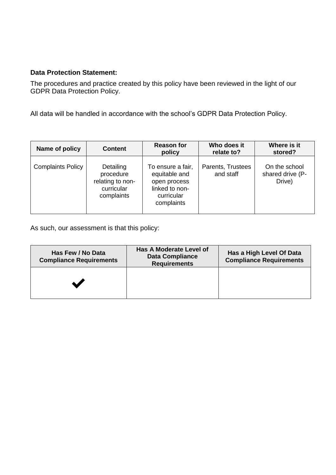#### **Data Protection Statement:**

The procedures and practice created by this policy have been reviewed in the light of our GDPR Data Protection Policy.

All data will be handled in accordance with the school's GDPR Data Protection Policy.

| Name of policy           | <b>Content</b>                                                         | <b>Reason for</b><br>policy                                                                      | Who does it<br>relate to?      | Where is it<br>stored?                      |
|--------------------------|------------------------------------------------------------------------|--------------------------------------------------------------------------------------------------|--------------------------------|---------------------------------------------|
| <b>Complaints Policy</b> | Detailing<br>procedure<br>relating to non-<br>curricular<br>complaints | To ensure a fair,<br>equitable and<br>open process<br>linked to non-<br>curricular<br>complaints | Parents, Trustees<br>and staff | On the school<br>shared drive (P-<br>Drive) |

As such, our assessment is that this policy:

<span id="page-4-0"></span>

| Has Few / No Data<br><b>Compliance Requirements</b> | <b>Has A Moderate Level of</b><br><b>Data Compliance</b><br><b>Requirements</b> | Has a High Level Of Data<br><b>Compliance Requirements</b> |
|-----------------------------------------------------|---------------------------------------------------------------------------------|------------------------------------------------------------|
|                                                     |                                                                                 |                                                            |